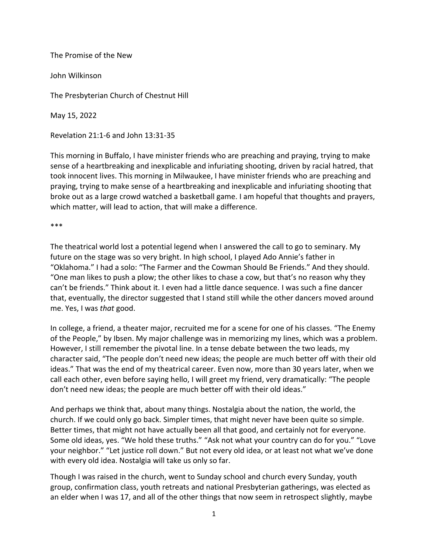The Promise of the New John Wilkinson The Presbyterian Church of Chestnut Hill

May 15, 2022

Revelation 21:1-6 and John 13:31-35

This morning in Buffalo, I have minister friends who are preaching and praying, trying to make sense of a heartbreaking and inexplicable and infuriating shooting, driven by racial hatred, that took innocent lives. This morning in Milwaukee, I have minister friends who are preaching and praying, trying to make sense of a heartbreaking and inexplicable and infuriating shooting that broke out as a large crowd watched a basketball game. I am hopeful that thoughts and prayers, which matter, will lead to action, that will make a difference.

\*\*\*

The theatrical world lost a potential legend when I answered the call to go to seminary. My future on the stage was so very bright. In high school, I played Ado Annie's father in "Oklahoma." I had a solo: "The Farmer and the Cowman Should Be Friends." And they should. "One man likes to push a plow; the other likes to chase a cow, but that's no reason why they can't be friends." Think about it. I even had a little dance sequence. I was such a fine dancer that, eventually, the director suggested that I stand still while the other dancers moved around me. Yes, I was *that* good.

In college, a friend, a theater major, recruited me for a scene for one of his classes. "The Enemy of the People," by Ibsen. My major challenge was in memorizing my lines, which was a problem. However, I still remember the pivotal line. In a tense debate between the two leads, my character said, "The people don't need new ideas; the people are much better off with their old ideas." That was the end of my theatrical career. Even now, more than 30 years later, when we call each other, even before saying hello, I will greet my friend, very dramatically: "The people don't need new ideas; the people are much better off with their old ideas."

And perhaps we think that, about many things. Nostalgia about the nation, the world, the church. If we could only go back. Simpler times, that might never have been quite so simple. Better times, that might not have actually been all that good, and certainly not for everyone. Some old ideas, yes. "We hold these truths." "Ask not what your country can do for you." "Love your neighbor." "Let justice roll down." But not every old idea, or at least not what we've done with every old idea. Nostalgia will take us only so far.

Though I was raised in the church, went to Sunday school and church every Sunday, youth group, confirmation class, youth retreats and national Presbyterian gatherings, was elected as an elder when I was 17, and all of the other things that now seem in retrospect slightly, maybe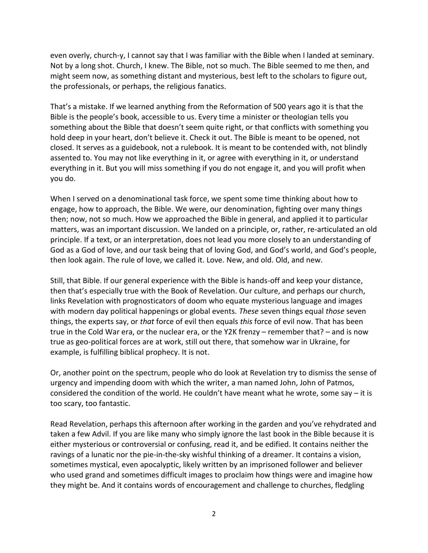even overly, church-y, I cannot say that I was familiar with the Bible when I landed at seminary. Not by a long shot. Church, I knew. The Bible, not so much. The Bible seemed to me then, and might seem now, as something distant and mysterious, best left to the scholars to figure out, the professionals, or perhaps, the religious fanatics.

That's a mistake. If we learned anything from the Reformation of 500 years ago it is that the Bible is the people's book, accessible to us. Every time a minister or theologian tells you something about the Bible that doesn't seem quite right, or that conflicts with something you hold deep in your heart, don't believe it. Check it out. The Bible is meant to be opened, not closed. It serves as a guidebook, not a rulebook. It is meant to be contended with, not blindly assented to. You may not like everything in it, or agree with everything in it, or understand everything in it. But you will miss something if you do not engage it, and you will profit when you do.

When I served on a denominational task force, we spent some time thinking about how to engage, how to approach, the Bible. We were, our denomination, fighting over many things then; now, not so much. How we approached the Bible in general, and applied it to particular matters, was an important discussion. We landed on a principle, or, rather, re-articulated an old principle. If a text, or an interpretation, does not lead you more closely to an understanding of God as a God of love, and our task being that of loving God, and God's world, and God's people, then look again. The rule of love, we called it. Love. New, and old. Old, and new.

Still, that Bible. If our general experience with the Bible is hands-off and keep your distance, then that's especially true with the Book of Revelation. Our culture, and perhaps our church, links Revelation with prognosticators of doom who equate mysterious language and images with modern day political happenings or global events. *These* seven things equal *those* seven things, the experts say, or *that* force of evil then equals *this* force of evil now. That has been true in the Cold War era, or the nuclear era, or the Y2K frenzy – remember that? – and is now true as geo-political forces are at work, still out there, that somehow war in Ukraine, for example, is fulfilling biblical prophecy. It is not.

Or, another point on the spectrum, people who do look at Revelation try to dismiss the sense of urgency and impending doom with which the writer, a man named John, John of Patmos, considered the condition of the world. He couldn't have meant what he wrote, some say – it is too scary, too fantastic.

Read Revelation, perhaps this afternoon after working in the garden and you've rehydrated and taken a few Advil. If you are like many who simply ignore the last book in the Bible because it is either mysterious or controversial or confusing, read it, and be edified. It contains neither the ravings of a lunatic nor the pie-in-the-sky wishful thinking of a dreamer. It contains a vision, sometimes mystical, even apocalyptic, likely written by an imprisoned follower and believer who used grand and sometimes difficult images to proclaim how things were and imagine how they might be. And it contains words of encouragement and challenge to churches, fledgling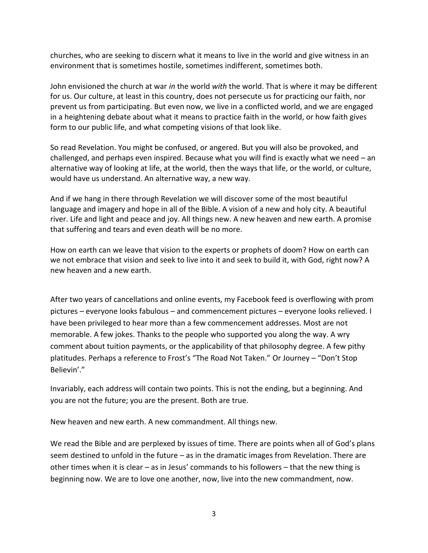churches, who are seeking to discern what it means to live in the world and give witness in an environment that is sometimes hostile, sometimes indifferent, sometimes both.

John envisioned the church at war *in* the world *with* the world. That is where it may be different for us. Our culture, at least in this country, does not persecute us for practicing our faith, nor prevent us from participating. But even now, we live in a conflicted world, and we are engaged in a heightening debate about what it means to practice faith in the world, or how faith gives form to our public life, and what competing visions of that look like.

So read Revelation. You might be confused, or angered. But you will also be provoked, and challenged, and perhaps even inspired. Because what you will find is exactly what we need – an alternative way of looking at life, at the world, then the ways that life, or the world, or culture, would have us understand. An alternative way, a new way.

And if we hang in there through Revelation we will discover some of the most beautiful language and imagery and hope in all of the Bible. A vision of a new and holy city. A beautiful river. Life and light and peace and joy. All things new. A new heaven and new earth. A promise that suffering and tears and even death will be no more.

How on earth can we leave that vision to the experts or prophets of doom? How on earth can we not embrace that vision and seek to live into it and seek to build it, with God, right now? A new heaven and a new earth.

After two years of cancellations and online events, my Facebook feed is overflowing with prom pictures – everyone looks fabulous – and commencement pictures – everyone looks relieved. I have been privileged to hear more than a few commencement addresses. Most are not memorable. A few jokes. Thanks to the people who supported you along the way. A wry comment about tuition payments, or the applicability of that philosophy degree. A few pithy platitudes. Perhaps a reference to Frost's "The Road Not Taken." Or Journey – "Don't Stop Believin'."

Invariably, each address will contain two points. This is not the ending, but a beginning. And you are not the future; you are the present. Both are true.

New heaven and new earth. A new commandment. All things new.

We read the Bible and are perplexed by issues of time. There are points when all of God's plans seem destined to unfold in the future – as in the dramatic images from Revelation. There are other times when it is clear – as in Jesus' commands to his followers – that the new thing is beginning now. We are to love one another, now, live into the new commandment, now.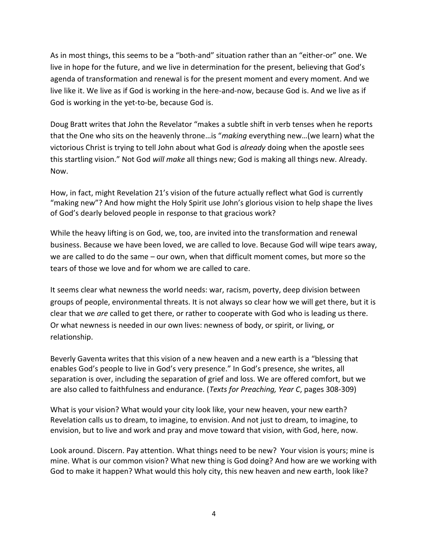As in most things, this seems to be a "both-and" situation rather than an "either-or" one. We live in hope for the future, and we live in determination for the present, believing that God's agenda of transformation and renewal is for the present moment and every moment. And we live like it. We live as if God is working in the here-and-now, because God is. And we live as if God is working in the yet-to-be, because God is.

Doug Bratt writes that John the Revelator "makes a subtle shift in verb tenses when he reports that the One who sits on the heavenly throne…is "*making* everything new…(we learn) what the victorious Christ is trying to tell John about what God is *already* doing when the apostle sees this startling vision." Not God *will make* all things new; God is making all things new. Already. Now.

How, in fact, might Revelation 21's vision of the future actually reflect what God is currently "making new"? And how might the Holy Spirit use John's glorious vision to help shape the lives of God's dearly beloved people in response to that gracious work?

While the heavy lifting is on God, we, too, are invited into the transformation and renewal business. Because we have been loved, we are called to love. Because God will wipe tears away, we are called to do the same – our own, when that difficult moment comes, but more so the tears of those we love and for whom we are called to care.

It seems clear what newness the world needs: war, racism, poverty, deep division between groups of people, environmental threats. It is not always so clear how we will get there, but it is clear that we *are* called to get there, or rather to cooperate with God who is leading us there. Or what newness is needed in our own lives: newness of body, or spirit, or living, or relationship.

Beverly Gaventa writes that this vision of a new heaven and a new earth is a "blessing that enables God's people to live in God's very presence." In God's presence, she writes, all separation is over, including the separation of grief and loss. We are offered comfort, but we are also called to faithfulness and endurance. (*Texts for Preaching, Year C*, pages 308-309)

What is your vision? What would your city look like, your new heaven, your new earth? Revelation calls us to dream, to imagine, to envision. And not just to dream, to imagine, to envision, but to live and work and pray and move toward that vision, with God, here, now.

Look around. Discern. Pay attention. What things need to be new? Your vision is yours; mine is mine. What is our common vision? What new thing is God doing? And how are we working with God to make it happen? What would this holy city, this new heaven and new earth, look like?